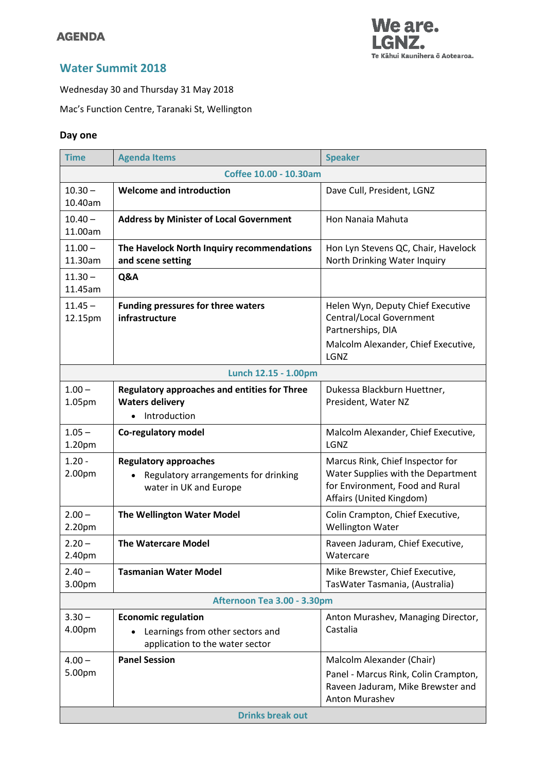## **AGENDA**



# **Water Summit 2018**

Wednesday 30 and Thursday 31 May 2018

Mac's Function Centre, Taranaki St, Wellington

### **Day one**

| <b>Time</b>                 | <b>Agenda Items</b>                                                                                         | <b>Speaker</b>                                                                                                                        |  |
|-----------------------------|-------------------------------------------------------------------------------------------------------------|---------------------------------------------------------------------------------------------------------------------------------------|--|
| Coffee 10.00 - 10.30am      |                                                                                                             |                                                                                                                                       |  |
| $10.30 -$<br>10.40am        | <b>Welcome and introduction</b>                                                                             | Dave Cull, President, LGNZ                                                                                                            |  |
| $10.40 -$<br>11.00am        | <b>Address by Minister of Local Government</b>                                                              | Hon Nanaia Mahuta                                                                                                                     |  |
| $11.00 -$<br>11.30am        | The Havelock North Inquiry recommendations<br>and scene setting                                             | Hon Lyn Stevens QC, Chair, Havelock<br>North Drinking Water Inquiry                                                                   |  |
| $11.30 -$<br>11.45am        | Q&A                                                                                                         |                                                                                                                                       |  |
| $11.45 -$<br>12.15pm        | <b>Funding pressures for three waters</b><br>infrastructure                                                 | Helen Wyn, Deputy Chief Executive<br>Central/Local Government<br>Partnerships, DIA<br>Malcolm Alexander, Chief Executive,<br>LGNZ     |  |
| Lunch 12.15 - 1.00pm        |                                                                                                             |                                                                                                                                       |  |
| $1.00 -$<br>1.05pm          | <b>Regulatory approaches and entities for Three</b><br><b>Waters delivery</b><br>Introduction               | Dukessa Blackburn Huettner,<br>President, Water NZ                                                                                    |  |
| $1.05 -$<br>1.20pm          | Co-regulatory model                                                                                         | Malcolm Alexander, Chief Executive,<br>LGNZ                                                                                           |  |
| $1.20 -$<br>2.00pm          | <b>Regulatory approaches</b><br>Regulatory arrangements for drinking<br>$\bullet$<br>water in UK and Europe | Marcus Rink, Chief Inspector for<br>Water Supplies with the Department<br>for Environment, Food and Rural<br>Affairs (United Kingdom) |  |
| $2.00 -$<br>2.20pm          | <b>The Wellington Water Model</b>                                                                           | Colin Crampton, Chief Executive,<br><b>Wellington Water</b>                                                                           |  |
| $2.20 -$<br>2.40pm          | <b>The Watercare Model</b>                                                                                  | Raveen Jaduram, Chief Executive,<br>Watercare                                                                                         |  |
| $2.40 -$<br>3.00pm          | <b>Tasmanian Water Model</b>                                                                                | Mike Brewster, Chief Executive,<br>TasWater Tasmania, (Australia)                                                                     |  |
| Afternoon Tea 3.00 - 3.30pm |                                                                                                             |                                                                                                                                       |  |
| $3.30 -$<br>4.00pm          | <b>Economic regulation</b><br>Learnings from other sectors and<br>application to the water sector           | Anton Murashev, Managing Director,<br>Castalia                                                                                        |  |
| $4.00 -$<br>5.00pm          | <b>Panel Session</b><br><b>Drinks break out</b>                                                             | Malcolm Alexander (Chair)<br>Panel - Marcus Rink, Colin Crampton,<br>Raveen Jaduram, Mike Brewster and<br><b>Anton Murashev</b>       |  |